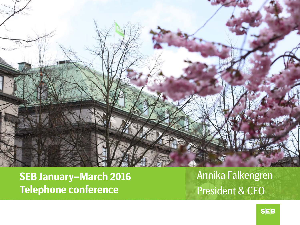

**SEB January –March 2016 Telephone conference**

Annika Falkengren President & CEO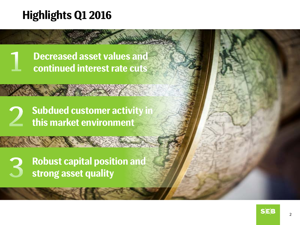# **Highlights Q1 2016**

**Decreased asset values and continued interest rate cuts**

**Subdued customer activity in this market environment**

**Robust capital position and strong asset quality**

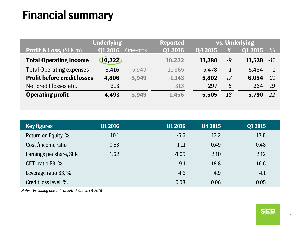# **Financial summary**

| <b>Underlying</b>                  |                | <b>Reported</b> | vs. Underlying |          |       |                |       |
|------------------------------------|----------------|-----------------|----------------|----------|-------|----------------|-------|
| <b>Profit &amp; Loss, (SEK m)</b>  | <b>Q1 2016</b> | One-offs        | Q1 2016        | Q4 2015  | $\%$  | <b>Q1 2015</b> | %     |
| <b>Total Operating income</b>      | 10,222         |                 | 10,222         | 11,280   | -9    | 11,538         | $-11$ |
| <b>Total Operating expenses</b>    | $-5,416$       | $-5,949$        | $-11,365$      | $-5,478$ | $-1$  | $-5,484$       | $-1$  |
| <b>Profit before credit losses</b> | 4,806          | $-5,949$        | $-1,143$       | 5,802    | $-17$ | $6,054 -21$    |       |
| Net credit losses etc.             | $-313$         |                 | $-313$         | $-297$   | 5     | $-264$         | 19    |
| <b>Operating profit</b>            | 4,493          | $-5,949$        | $-1,456$       | 5,505    | $-18$ | $5,790 -22$    |       |

| <b>Key figures</b>      | Q1 2016 | Q1 2016 | Q4 2015 | Q1 2015 |
|-------------------------|---------|---------|---------|---------|
| Return on Equity, %     | 10.1    | $-6.6$  | 13.2    | 13.8    |
| Cost /income ratio      | 0.53    | 1.11    | 0.49    | 0.48    |
| Earnings per share, SEK | 1.62    | $-1.05$ | 2.10    | 2.12    |
| CET1 ratio B3, %        |         | 19.1    | 18.8    | 16.6    |
| Leverage ratio B3, %    |         | 4.6     | 4.9     | 4.1     |
| Credit loss level, %    |         | 0.08    | 0.06    | 0.05    |

*Note: Excluding one-offs of SEK -5.9bn in Q1 2016*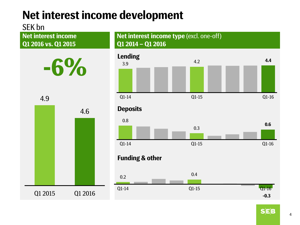# **Net interest income development**

### SEK bn

**Net interest income Q1 2016 vs. Q1 2015**



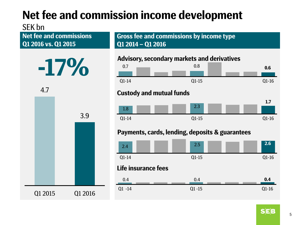# **Net fee and commission income development**

### SEK bn

**Net fee and commissions Q1 2016 vs. Q1 2015**



4.7



**Gross fee and commissions by income type Q1 2014 – Q1 2016**

#### **Advisory, secondary markets and derivatives**



Q1 -14 Q1 -15 Q1-16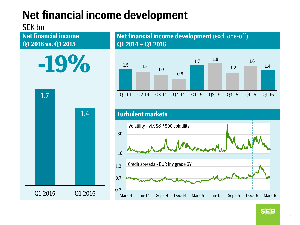# **Net financial income development**

### SEK bn

**Q1 2016 vs. Q1 2015**



Q1 2015 Q1 2016

1.5 1.2 1.0 0.8 1.7 1.8 1.2 1.6 **1.4** Q1-14 Q2-14 Q3-14 Q4-14 Q1-15 Q2-15 Q3-15 Q4-15 Q1-16 **Net financial income**<br> **Net financial income**<br> **Q1 2014** – Q1 2016 **Q1 2014 – Q1 2016 Turbulent markets** 10 30 0.2 0.7 1.2 Mar-14 Jun-14 Sep-14 Dec-14 Mar-15 Jun-15 Sep-15 Dec-15 Mar-16 Credit spreads - EUR Inv grade 5Y Volatility - VIX S&P 500 volatility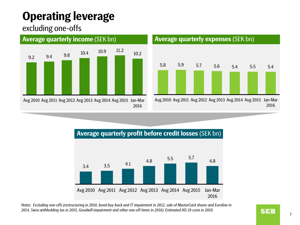# **Operating leverage**

excluding one-offs



#### **Average quarterly income** (SEK bn)



### **Average quarterly profit before credit losses** (SEK bn)



*Notes: Excluding one-offs (restructuring in 2010, bond buy-back and IT impairment in 2012, sale of MasterCard shares and Euroline in 2014, Swiss withholding tax in 2015, Goodwill impairment and other one-off items in 2016). Estimated IAS 19 costs in 2010.*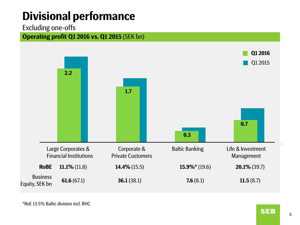# **Divisional performance**

#### Excluding one-offs





\*RoE 13.5% Baltic division incl. RHC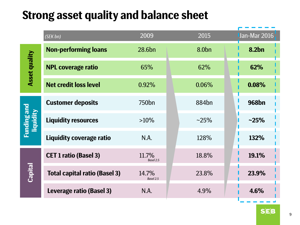## **Strong asset quality and balance sheet**

|                                 | (SEK bn)                             | 2009               | 2015              | Jan-Mar 2016 |
|---------------------------------|--------------------------------------|--------------------|-------------------|--------------|
| <b>Asset quality</b>            | <b>Non-performing loans</b>          | 28.6bn             | 8.0 <sub>bn</sub> | 8.2bn        |
|                                 | <b>NPL coverage ratio</b>            | 65%                | 62%               | 62%          |
|                                 | <b>Net credit loss level</b>         | 0.92%              | 0.06%             | 0.08%        |
| <b>Funding and</b><br>liquidity | <b>Customer deposits</b>             | 750 <sub>bn</sub>  | 884 <sub>bn</sub> | <b>968bn</b> |
|                                 | <b>Liquidity resources</b>           | $>10\%$            | $~25\%$           | $-25%$       |
|                                 | Liquidity coverage ratio             | N.A.               | 128%              | 132%         |
| <b>Capital</b>                  | <b>CET 1 ratio (Basel 3)</b>         | 11.7%<br>Basel 2.5 | 18.8%             | 19.1%        |
|                                 | <b>Total capital ratio (Basel 3)</b> | 14.7%<br>Basel 2.5 | 23.8%             | 23.9%        |
|                                 | Leverage ratio (Basel 3)             | N.A.               | 4.9%              | 4.6%         |

 $S$  $E$  $B$